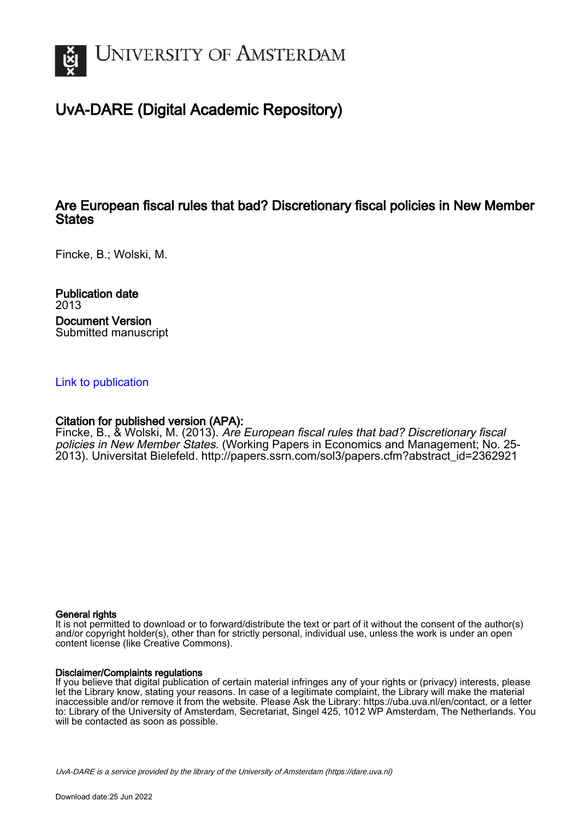

## UvA-DARE (Digital Academic Repository)

## Are European fiscal rules that bad? Discretionary fiscal policies in New Member **States**

Fincke, B.; Wolski, M.

Publication date 2013 Document Version Submitted manuscript

#### [Link to publication](https://dare.uva.nl/personal/pure/en/publications/are-european-fiscal-rules-that-bad-discretionary-fiscal-policies-in-new-member-states(6672a916-86bd-42d9-933e-ac64154a9eba).html)

## Citation for published version (APA):

Fincke, B., & Wolski, M. (2013). Are European fiscal rules that bad? Discretionary fiscal policies in New Member States. (Working Papers in Economics and Management; No. 25- 2013). Universitat Bielefeld. [http://papers.ssrn.com/sol3/papers.cfm?abstract\\_id=2362921](http://papers.ssrn.com/sol3/papers.cfm?abstract_id=2362921)

#### General rights

It is not permitted to download or to forward/distribute the text or part of it without the consent of the author(s) and/or copyright holder(s), other than for strictly personal, individual use, unless the work is under an open content license (like Creative Commons).

#### Disclaimer/Complaints regulations

If you believe that digital publication of certain material infringes any of your rights or (privacy) interests, please let the Library know, stating your reasons. In case of a legitimate complaint, the Library will make the material inaccessible and/or remove it from the website. Please Ask the Library: https://uba.uva.nl/en/contact, or a letter to: Library of the University of Amsterdam, Secretariat, Singel 425, 1012 WP Amsterdam, The Netherlands. You will be contacted as soon as possible.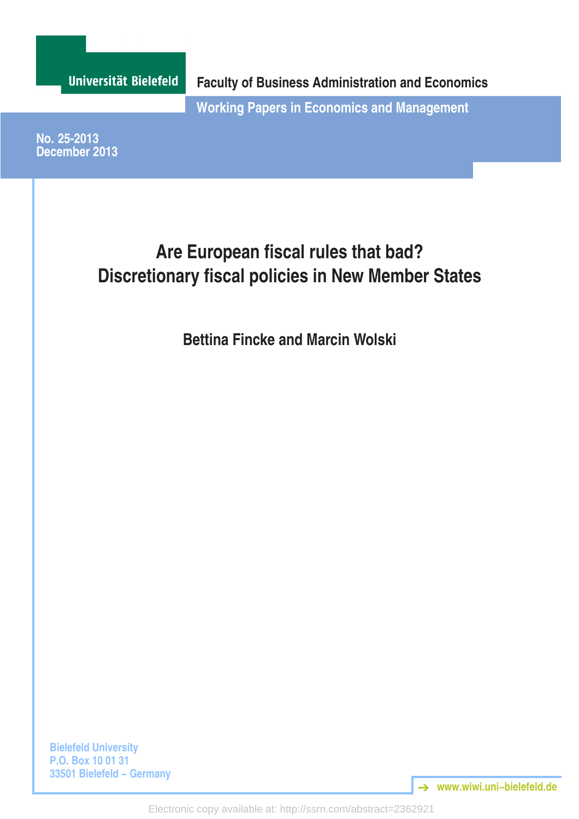

Electronic copy available at: http://ssrn.com/abstract=2362921

**www.wiwi.uni−bielefeld.de** ➔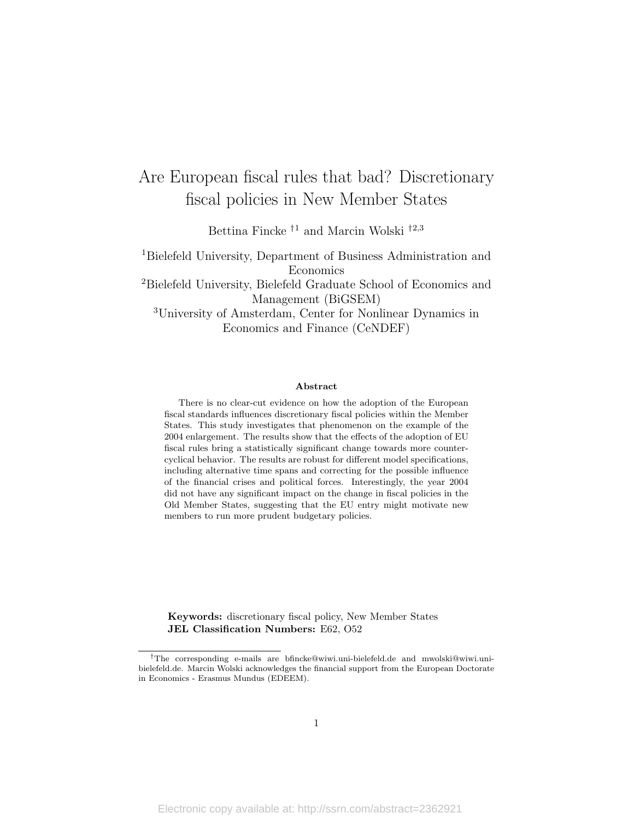# Are European fiscal rules that bad? Discretionary fiscal policies in New Member States

Bettina Fincke $^{\dagger1}$  and Marcin Wolski  $^{\dagger2,3}$ 

<sup>1</sup>Bielefeld University, Department of Business Administration and Economics <sup>2</sup>Bielefeld University, Bielefeld Graduate School of Economics and Management (BiGSEM) <sup>3</sup>University of Amsterdam, Center for Nonlinear Dynamics in Economics and Finance (CeNDEF)

#### Abstract

There is no clear-cut evidence on how the adoption of the European fiscal standards influences discretionary fiscal policies within the Member States. This study investigates that phenomenon on the example of the 2004 enlargement. The results show that the effects of the adoption of EU fiscal rules bring a statistically significant change towards more countercyclical behavior. The results are robust for different model specifications, including alternative time spans and correcting for the possible influence of the financial crises and political forces. Interestingly, the year 2004 did not have any significant impact on the change in fiscal policies in the Old Member States, suggesting that the EU entry might motivate new members to run more prudent budgetary policies.

Keywords: discretionary fiscal policy, New Member States JEL Classification Numbers: E62, O52

<sup>†</sup>The corresponding e-mails are bfincke@wiwi.uni-bielefeld.de and mwolski@wiwi.unibielefeld.de. Marcin Wolski acknowledges the financial support from the European Doctorate in Economics - Erasmus Mundus (EDEEM).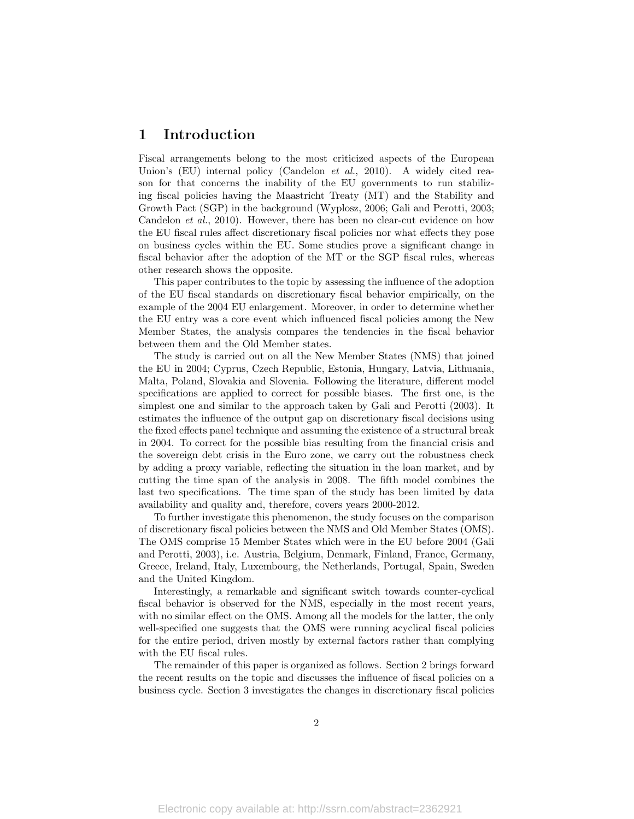### 1 Introduction

Fiscal arrangements belong to the most criticized aspects of the European Union's (EU) internal policy (Candelon *et al.*, 2010). A widely cited reason for that concerns the inability of the EU governments to run stabilizing fiscal policies having the Maastricht Treaty (MT) and the Stability and Growth Pact (SGP) in the background (Wyplosz, 2006; Gali and Perotti, 2003; Candelon et al., 2010). However, there has been no clear-cut evidence on how the EU fiscal rules affect discretionary fiscal policies nor what effects they pose on business cycles within the EU. Some studies prove a significant change in fiscal behavior after the adoption of the MT or the SGP fiscal rules, whereas other research shows the opposite.

This paper contributes to the topic by assessing the influence of the adoption of the EU fiscal standards on discretionary fiscal behavior empirically, on the example of the 2004 EU enlargement. Moreover, in order to determine whether the EU entry was a core event which influenced fiscal policies among the New Member States, the analysis compares the tendencies in the fiscal behavior between them and the Old Member states.

The study is carried out on all the New Member States (NMS) that joined the EU in 2004; Cyprus, Czech Republic, Estonia, Hungary, Latvia, Lithuania, Malta, Poland, Slovakia and Slovenia. Following the literature, different model specifications are applied to correct for possible biases. The first one, is the simplest one and similar to the approach taken by Gali and Perotti (2003). It estimates the influence of the output gap on discretionary fiscal decisions using the fixed effects panel technique and assuming the existence of a structural break in 2004. To correct for the possible bias resulting from the financial crisis and the sovereign debt crisis in the Euro zone, we carry out the robustness check by adding a proxy variable, reflecting the situation in the loan market, and by cutting the time span of the analysis in 2008. The fifth model combines the last two specifications. The time span of the study has been limited by data availability and quality and, therefore, covers years 2000-2012.

To further investigate this phenomenon, the study focuses on the comparison of discretionary fiscal policies between the NMS and Old Member States (OMS). The OMS comprise 15 Member States which were in the EU before 2004 (Gali and Perotti, 2003), i.e. Austria, Belgium, Denmark, Finland, France, Germany, Greece, Ireland, Italy, Luxembourg, the Netherlands, Portugal, Spain, Sweden and the United Kingdom.

Interestingly, a remarkable and significant switch towards counter-cyclical fiscal behavior is observed for the NMS, especially in the most recent years, with no similar effect on the OMS. Among all the models for the latter, the only well-specified one suggests that the OMS were running acyclical fiscal policies for the entire period, driven mostly by external factors rather than complying with the EU fiscal rules.

The remainder of this paper is organized as follows. Section 2 brings forward the recent results on the topic and discusses the influence of fiscal policies on a business cycle. Section 3 investigates the changes in discretionary fiscal policies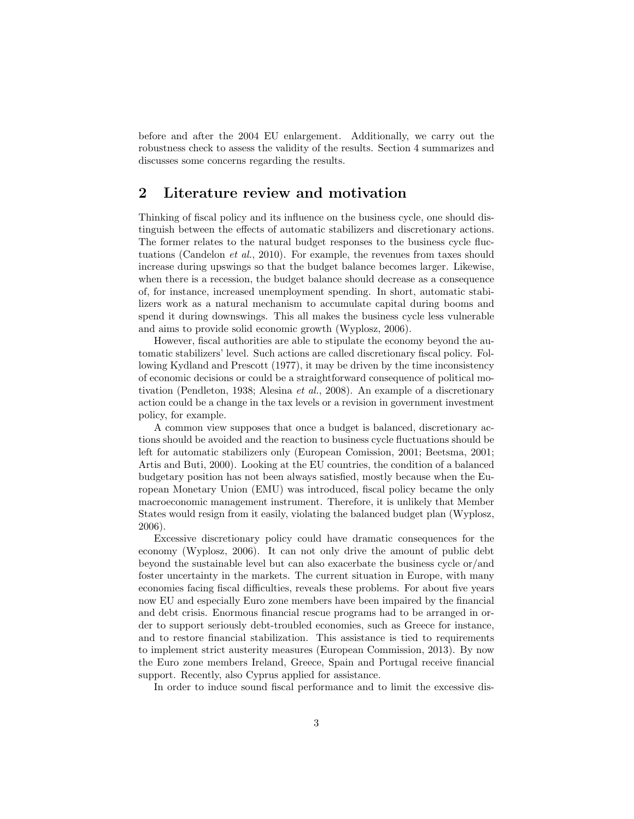before and after the 2004 EU enlargement. Additionally, we carry out the robustness check to assess the validity of the results. Section 4 summarizes and discusses some concerns regarding the results.

## 2 Literature review and motivation

Thinking of fiscal policy and its influence on the business cycle, one should distinguish between the effects of automatic stabilizers and discretionary actions. The former relates to the natural budget responses to the business cycle fluctuations (Candelon et al., 2010). For example, the revenues from taxes should increase during upswings so that the budget balance becomes larger. Likewise, when there is a recession, the budget balance should decrease as a consequence of, for instance, increased unemployment spending. In short, automatic stabilizers work as a natural mechanism to accumulate capital during booms and spend it during downswings. This all makes the business cycle less vulnerable and aims to provide solid economic growth (Wyplosz, 2006).

However, fiscal authorities are able to stipulate the economy beyond the automatic stabilizers' level. Such actions are called discretionary fiscal policy. Following Kydland and Prescott (1977), it may be driven by the time inconsistency of economic decisions or could be a straightforward consequence of political motivation (Pendleton, 1938; Alesina et al., 2008). An example of a discretionary action could be a change in the tax levels or a revision in government investment policy, for example.

A common view supposes that once a budget is balanced, discretionary actions should be avoided and the reaction to business cycle fluctuations should be left for automatic stabilizers only (European Comission, 2001; Beetsma, 2001; Artis and Buti, 2000). Looking at the EU countries, the condition of a balanced budgetary position has not been always satisfied, mostly because when the European Monetary Union (EMU) was introduced, fiscal policy became the only macroeconomic management instrument. Therefore, it is unlikely that Member States would resign from it easily, violating the balanced budget plan (Wyplosz, 2006).

Excessive discretionary policy could have dramatic consequences for the economy (Wyplosz, 2006). It can not only drive the amount of public debt beyond the sustainable level but can also exacerbate the business cycle or/and foster uncertainty in the markets. The current situation in Europe, with many economies facing fiscal difficulties, reveals these problems. For about five years now EU and especially Euro zone members have been impaired by the financial and debt crisis. Enormous financial rescue programs had to be arranged in order to support seriously debt-troubled economies, such as Greece for instance, and to restore financial stabilization. This assistance is tied to requirements to implement strict austerity measures (European Commission, 2013). By now the Euro zone members Ireland, Greece, Spain and Portugal receive financial support. Recently, also Cyprus applied for assistance.

In order to induce sound fiscal performance and to limit the excessive dis-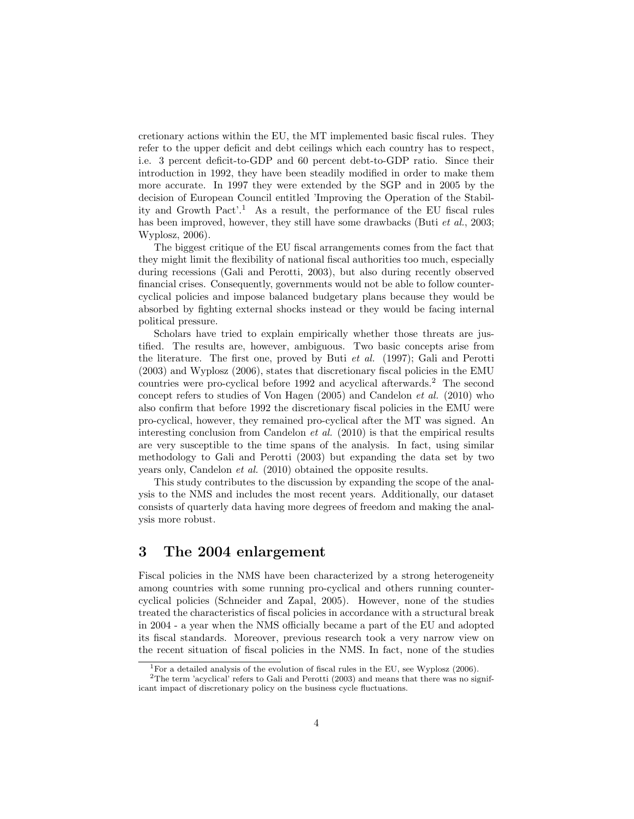cretionary actions within the EU, the MT implemented basic fiscal rules. They refer to the upper deficit and debt ceilings which each country has to respect, i.e. 3 percent deficit-to-GDP and 60 percent debt-to-GDP ratio. Since their introduction in 1992, they have been steadily modified in order to make them more accurate. In 1997 they were extended by the SGP and in 2005 by the decision of European Council entitled 'Improving the Operation of the Stability and Growth Pact'.<sup>1</sup> As a result, the performance of the EU fiscal rules has been improved, however, they still have some drawbacks (Buti *et al.*, 2003; Wyplosz, 2006).

The biggest critique of the EU fiscal arrangements comes from the fact that they might limit the flexibility of national fiscal authorities too much, especially during recessions (Gali and Perotti, 2003), but also during recently observed financial crises. Consequently, governments would not be able to follow countercyclical policies and impose balanced budgetary plans because they would be absorbed by fighting external shocks instead or they would be facing internal political pressure.

Scholars have tried to explain empirically whether those threats are justified. The results are, however, ambiguous. Two basic concepts arise from the literature. The first one, proved by Buti et al. (1997); Gali and Perotti (2003) and Wyplosz (2006), states that discretionary fiscal policies in the EMU countries were pro-cyclical before 1992 and acyclical afterwards.<sup>2</sup> The second concept refers to studies of Von Hagen  $(2005)$  and Candelon *et al.*  $(2010)$  who also confirm that before 1992 the discretionary fiscal policies in the EMU were pro-cyclical, however, they remained pro-cyclical after the MT was signed. An interesting conclusion from Candelon et al. (2010) is that the empirical results are very susceptible to the time spans of the analysis. In fact, using similar methodology to Gali and Perotti (2003) but expanding the data set by two years only, Candelon et al. (2010) obtained the opposite results.

This study contributes to the discussion by expanding the scope of the analysis to the NMS and includes the most recent years. Additionally, our dataset consists of quarterly data having more degrees of freedom and making the analysis more robust.

## 3 The 2004 enlargement

Fiscal policies in the NMS have been characterized by a strong heterogeneity among countries with some running pro-cyclical and others running countercyclical policies (Schneider and Zapal, 2005). However, none of the studies treated the characteristics of fiscal policies in accordance with a structural break in 2004 - a year when the NMS officially became a part of the EU and adopted its fiscal standards. Moreover, previous research took a very narrow view on the recent situation of fiscal policies in the NMS. In fact, none of the studies

<sup>&</sup>lt;sup>1</sup> For a detailed analysis of the evolution of fiscal rules in the EU, see Wyplosz (2006).

 $2$ The term 'acyclical' refers to Gali and Perotti (2003) and means that there was no significant impact of discretionary policy on the business cycle fluctuations.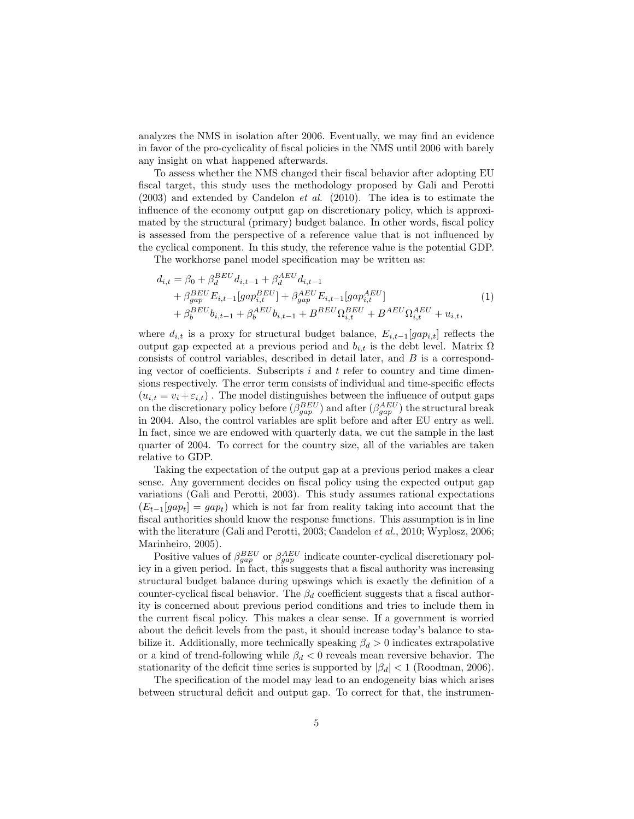analyzes the NMS in isolation after 2006. Eventually, we may find an evidence in favor of the pro-cyclicality of fiscal policies in the NMS until 2006 with barely any insight on what happened afterwards.

To assess whether the NMS changed their fiscal behavior after adopting EU fiscal target, this study uses the methodology proposed by Gali and Perotti  $(2003)$  and extended by Candelon *et al.*  $(2010)$ . The idea is to estimate the influence of the economy output gap on discretionary policy, which is approximated by the structural (primary) budget balance. In other words, fiscal policy is assessed from the perspective of a reference value that is not influenced by the cyclical component. In this study, the reference value is the potential GDP.

The workhorse panel model specification may be written as:

$$
d_{i,t} = \beta_0 + \beta_d^{BEU} d_{i,t-1} + \beta_d^{AEU} d_{i,t-1} + \beta_{gap}^{BEU} E_{i,t-1} [gap_{i,t}^{BEU}] + \beta_{gap}^{AEU} E_{i,t-1} [gap_{i,t}^{AEU}] + \beta_b^{BEU} b_{i,t-1} + \beta_b^{AEU} b_{i,t-1} + B^{BEU} \Omega_{i,t}^{BEU} + B^{AEU} \Omega_{i,t}^{AEU} + u_{i,t},
$$
(1)

where  $d_{i,t}$  is a proxy for structural budget balance,  $E_{i,t-1}[gap_{i,t}]$  reflects the output gap expected at a previous period and  $b_{i,t}$  is the debt level. Matrix Ω consists of control variables, described in detail later, and B is a corresponding vector of coefficients. Subscripts  $i$  and  $t$  refer to country and time dimensions respectively. The error term consists of individual and time-specific effects  $(u_{i,t} = v_i + \varepsilon_{i,t})$ . The model distinguishes between the influence of output gaps on the discretionary policy before  $(\beta_{gap}^{BEU})$  and after  $(\beta_{gap}^{AEU})$  the structural break in 2004. Also, the control variables are split before and after EU entry as well. In fact, since we are endowed with quarterly data, we cut the sample in the last quarter of 2004. To correct for the country size, all of the variables are taken relative to GDP.

Taking the expectation of the output gap at a previous period makes a clear sense. Any government decides on fiscal policy using the expected output gap variations (Gali and Perotti, 2003). This study assumes rational expectations  $(E_{t-1}[gap_t] = gap_t)$  which is not far from reality taking into account that the fiscal authorities should know the response functions. This assumption is in line with the literature (Gali and Perotti, 2003; Candelon *et al.*, 2010; Wyplosz, 2006; Marinheiro, 2005).

Positive values of  $\beta_{gap}^{BEU}$  or  $\beta_{gap}^{AEU}$  indicate counter-cyclical discretionary policy in a given period. In fact, this suggests that a fiscal authority was increasing structural budget balance during upswings which is exactly the definition of a counter-cyclical fiscal behavior. The  $\beta_d$  coefficient suggests that a fiscal authority is concerned about previous period conditions and tries to include them in the current fiscal policy. This makes a clear sense. If a government is worried about the deficit levels from the past, it should increase today's balance to stabilize it. Additionally, more technically speaking  $\beta_d > 0$  indicates extrapolative or a kind of trend-following while  $\beta_d < 0$  reveals mean reversive behavior. The stationarity of the deficit time series is supported by  $|\beta_d| < 1$  (Roodman, 2006).

The specification of the model may lead to an endogeneity bias which arises between structural deficit and output gap. To correct for that, the instrumen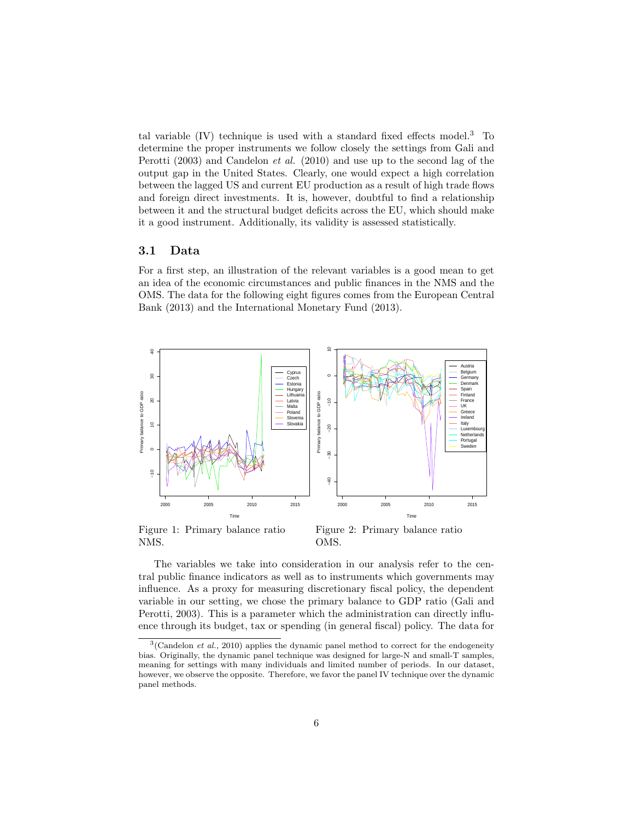tal variable  $(IV)$  technique is used with a standard fixed effects model.<sup>3</sup> To determine the proper instruments we follow closely the settings from Gali and Perotti (2003) and Candelon et al. (2010) and use up to the second lag of the output gap in the United States. Clearly, one would expect a high correlation between the lagged US and current EU production as a result of high trade flows and foreign direct investments. It is, however, doubtful to find a relationship between it and the structural budget deficits across the EU, which should make it a good instrument. Additionally, its validity is assessed statistically.

#### 3.1 Data

For a first step, an illustration of the relevant variables is a good mean to get an idea of the economic circumstances and public finances in the NMS and the OMS. The data for the following eight figures comes from the European Central Bank (2013) and the International Monetary Fund (2013).



Figure 1: Primary balance ratio NMS.

Figure 2: Primary balance ratio OMS.

The variables we take into consideration in our analysis refer to the central public finance indicators as well as to instruments which governments may influence. As a proxy for measuring discretionary fiscal policy, the dependent variable in our setting, we chose the primary balance to GDP ratio (Gali and Perotti, 2003). This is a parameter which the administration can directly influence through its budget, tax or spending (in general fiscal) policy. The data for

 $3$ (Candelon *et al.*, 2010) applies the dynamic panel method to correct for the endogeneity bias. Originally, the dynamic panel technique was designed for large-N and small-T samples, meaning for settings with many individuals and limited number of periods. In our dataset, however, we observe the opposite. Therefore, we favor the panel IV technique over the dynamic panel methods.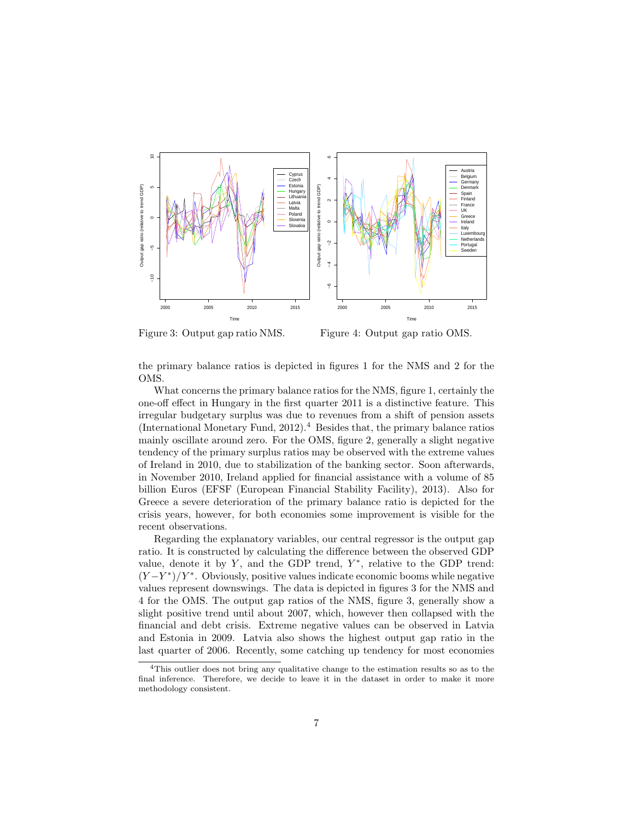

Figure 3: Output gap ratio NMS.

Figure 4: Output gap ratio OMS.

the primary balance ratios is depicted in figures 1 for the NMS and 2 for the OMS.

What concerns the primary balance ratios for the NMS, figure 1, certainly the one-off effect in Hungary in the first quarter 2011 is a distinctive feature. This irregular budgetary surplus was due to revenues from a shift of pension assets (International Monetary Fund,  $2012$ ).<sup>4</sup> Besides that, the primary balance ratios mainly oscillate around zero. For the OMS, figure 2, generally a slight negative tendency of the primary surplus ratios may be observed with the extreme values of Ireland in 2010, due to stabilization of the banking sector. Soon afterwards, in November 2010, Ireland applied for financial assistance with a volume of 85 billion Euros (EFSF (European Financial Stability Facility), 2013). Also for Greece a severe deterioration of the primary balance ratio is depicted for the crisis years, however, for both economies some improvement is visible for the recent observations.

Regarding the explanatory variables, our central regressor is the output gap ratio. It is constructed by calculating the difference between the observed GDP value, denote it by  $Y$ , and the GDP trend,  $Y^*$ , relative to the GDP trend:  $(Y-Y^*)/Y^*$ . Obviously, positive values indicate economic booms while negative values represent downswings. The data is depicted in figures 3 for the NMS and 4 for the OMS. The output gap ratios of the NMS, figure 3, generally show a slight positive trend until about 2007, which, however then collapsed with the financial and debt crisis. Extreme negative values can be observed in Latvia and Estonia in 2009. Latvia also shows the highest output gap ratio in the last quarter of 2006. Recently, some catching up tendency for most economies

<sup>4</sup>This outlier does not bring any qualitative change to the estimation results so as to the final inference. Therefore, we decide to leave it in the dataset in order to make it more methodology consistent.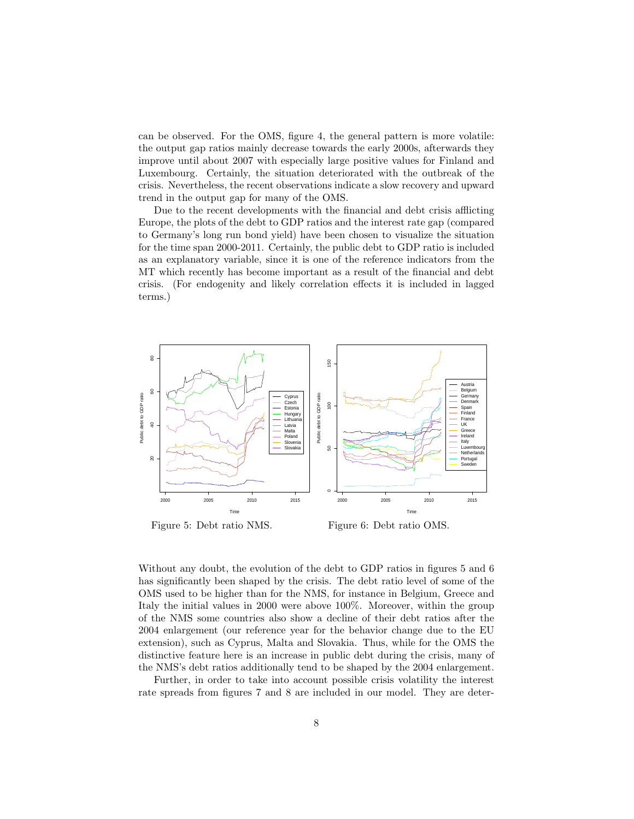can be observed. For the OMS, figure 4, the general pattern is more volatile: the output gap ratios mainly decrease towards the early 2000s, afterwards they improve until about 2007 with especially large positive values for Finland and Luxembourg. Certainly, the situation deteriorated with the outbreak of the crisis. Nevertheless, the recent observations indicate a slow recovery and upward trend in the output gap for many of the OMS.

Due to the recent developments with the financial and debt crisis afflicting Europe, the plots of the debt to GDP ratios and the interest rate gap (compared to Germany's long run bond yield) have been chosen to visualize the situation for the time span 2000-2011. Certainly, the public debt to GDP ratio is included as an explanatory variable, since it is one of the reference indicators from the MT which recently has become important as a result of the financial and debt crisis. (For endogenity and likely correlation effects it is included in lagged terms.)



Figure 5: Debt ratio NMS.

Figure 6: Debt ratio OMS.

Without any doubt, the evolution of the debt to GDP ratios in figures 5 and 6 has significantly been shaped by the crisis. The debt ratio level of some of the OMS used to be higher than for the NMS, for instance in Belgium, Greece and Italy the initial values in 2000 were above 100%. Moreover, within the group of the NMS some countries also show a decline of their debt ratios after the 2004 enlargement (our reference year for the behavior change due to the EU extension), such as Cyprus, Malta and Slovakia. Thus, while for the OMS the distinctive feature here is an increase in public debt during the crisis, many of the NMS's debt ratios additionally tend to be shaped by the 2004 enlargement.

Further, in order to take into account possible crisis volatility the interest rate spreads from figures 7 and 8 are included in our model. They are deter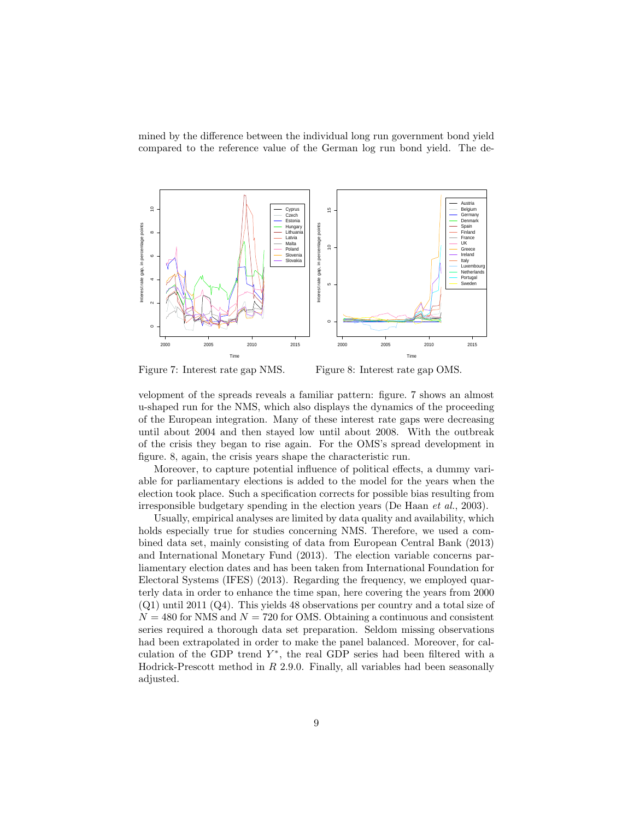mined by the difference between the individual long run government bond yield compared to the reference value of the German log run bond yield. The de-



Figure 7: Interest rate gap NMS.

Figure 8: Interest rate gap OMS.

velopment of the spreads reveals a familiar pattern: figure. 7 shows an almost u-shaped run for the NMS, which also displays the dynamics of the proceeding of the European integration. Many of these interest rate gaps were decreasing until about 2004 and then stayed low until about 2008. With the outbreak of the crisis they began to rise again. For the OMS's spread development in figure. 8, again, the crisis years shape the characteristic run.

Moreover, to capture potential influence of political effects, a dummy variable for parliamentary elections is added to the model for the years when the election took place. Such a specification corrects for possible bias resulting from irresponsible budgetary spending in the election years (De Haan et al., 2003).

Usually, empirical analyses are limited by data quality and availability, which holds especially true for studies concerning NMS. Therefore, we used a combined data set, mainly consisting of data from European Central Bank (2013) and International Monetary Fund (2013). The election variable concerns parliamentary election dates and has been taken from International Foundation for Electoral Systems (IFES) (2013). Regarding the frequency, we employed quarterly data in order to enhance the time span, here covering the years from 2000 (Q1) until 2011 (Q4). This yields 48 observations per country and a total size of  $N = 480$  for NMS and  $N = 720$  for OMS. Obtaining a continuous and consistent series required a thorough data set preparation. Seldom missing observations had been extrapolated in order to make the panel balanced. Moreover, for calculation of the GDP trend  $Y^*$ , the real GDP series had been filtered with a Hodrick-Prescott method in  $R$  2.9.0. Finally, all variables had been seasonally adjusted.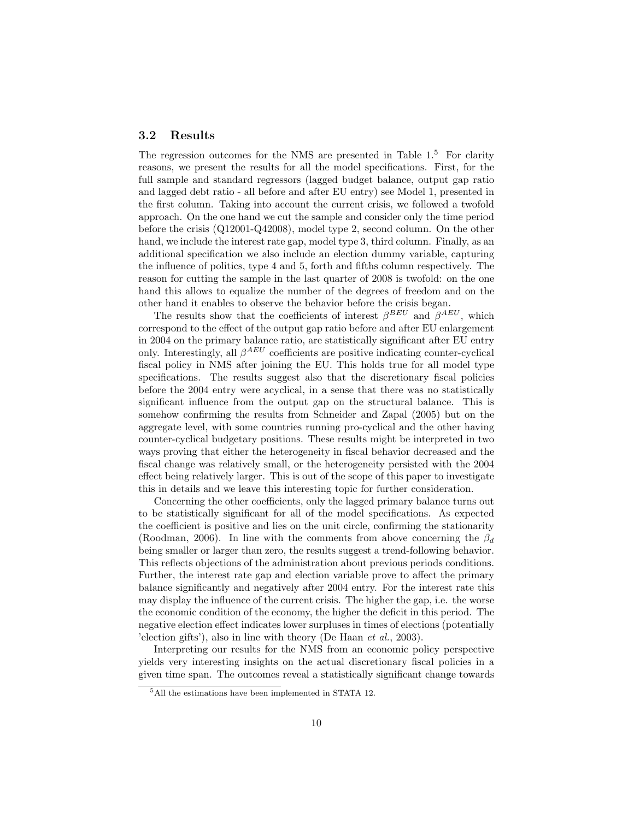#### 3.2 Results

The regression outcomes for the NMS are presented in Table 1.<sup>5</sup> For clarity reasons, we present the results for all the model specifications. First, for the full sample and standard regressors (lagged budget balance, output gap ratio and lagged debt ratio - all before and after EU entry) see Model 1, presented in the first column. Taking into account the current crisis, we followed a twofold approach. On the one hand we cut the sample and consider only the time period before the crisis (Q12001-Q42008), model type 2, second column. On the other hand, we include the interest rate gap, model type 3, third column. Finally, as an additional specification we also include an election dummy variable, capturing the influence of politics, type 4 and 5, forth and fifths column respectively. The reason for cutting the sample in the last quarter of 2008 is twofold: on the one hand this allows to equalize the number of the degrees of freedom and on the other hand it enables to observe the behavior before the crisis began.

The results show that the coefficients of interest  $\beta^{BEU}$  and  $\beta^{AEU}$ , which correspond to the effect of the output gap ratio before and after EU enlargement in 2004 on the primary balance ratio, are statistically significant after EU entry only. Interestingly, all  $\beta^{AEU}$  coefficients are positive indicating counter-cyclical fiscal policy in NMS after joining the EU. This holds true for all model type specifications. The results suggest also that the discretionary fiscal policies before the 2004 entry were acyclical, in a sense that there was no statistically significant influence from the output gap on the structural balance. This is somehow confirming the results from Schneider and Zapal (2005) but on the aggregate level, with some countries running pro-cyclical and the other having counter-cyclical budgetary positions. These results might be interpreted in two ways proving that either the heterogeneity in fiscal behavior decreased and the fiscal change was relatively small, or the heterogeneity persisted with the 2004 effect being relatively larger. This is out of the scope of this paper to investigate this in details and we leave this interesting topic for further consideration.

Concerning the other coefficients, only the lagged primary balance turns out to be statistically significant for all of the model specifications. As expected the coefficient is positive and lies on the unit circle, confirming the stationarity (Roodman, 2006). In line with the comments from above concerning the  $\beta_d$ being smaller or larger than zero, the results suggest a trend-following behavior. This reflects objections of the administration about previous periods conditions. Further, the interest rate gap and election variable prove to affect the primary balance significantly and negatively after 2004 entry. For the interest rate this may display the influence of the current crisis. The higher the gap, i.e. the worse the economic condition of the economy, the higher the deficit in this period. The negative election effect indicates lower surpluses in times of elections (potentially 'election gifts'), also in line with theory (De Haan et al., 2003).

Interpreting our results for the NMS from an economic policy perspective yields very interesting insights on the actual discretionary fiscal policies in a given time span. The outcomes reveal a statistically significant change towards

<sup>5</sup>All the estimations have been implemented in STATA 12.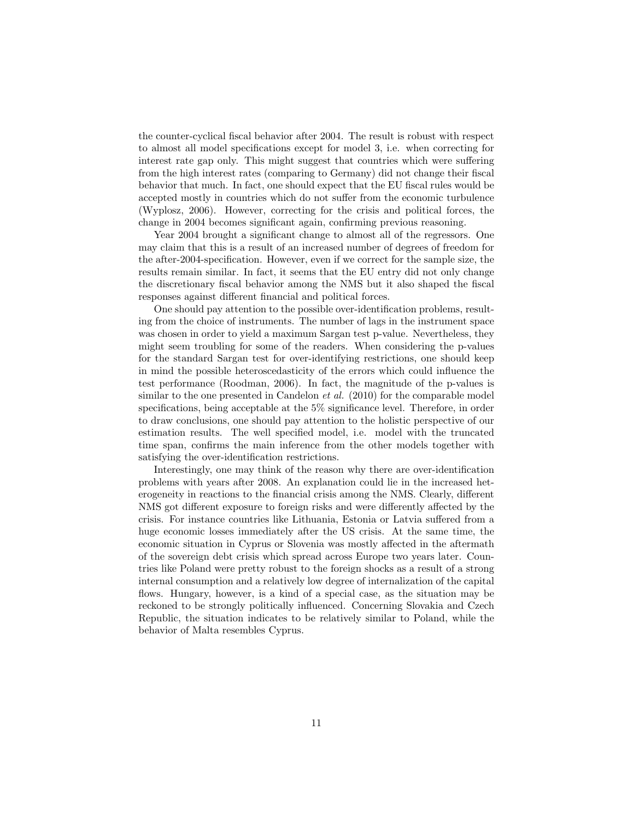the counter-cyclical fiscal behavior after 2004. The result is robust with respect to almost all model specifications except for model 3, i.e. when correcting for interest rate gap only. This might suggest that countries which were suffering from the high interest rates (comparing to Germany) did not change their fiscal behavior that much. In fact, one should expect that the EU fiscal rules would be accepted mostly in countries which do not suffer from the economic turbulence (Wyplosz, 2006). However, correcting for the crisis and political forces, the change in 2004 becomes significant again, confirming previous reasoning.

Year 2004 brought a significant change to almost all of the regressors. One may claim that this is a result of an increased number of degrees of freedom for the after-2004-specification. However, even if we correct for the sample size, the results remain similar. In fact, it seems that the EU entry did not only change the discretionary fiscal behavior among the NMS but it also shaped the fiscal responses against different financial and political forces.

One should pay attention to the possible over-identification problems, resulting from the choice of instruments. The number of lags in the instrument space was chosen in order to yield a maximum Sargan test p-value. Nevertheless, they might seem troubling for some of the readers. When considering the p-values for the standard Sargan test for over-identifying restrictions, one should keep in mind the possible heteroscedasticity of the errors which could influence the test performance (Roodman, 2006). In fact, the magnitude of the p-values is similar to the one presented in Candelon et al. (2010) for the comparable model specifications, being acceptable at the 5% significance level. Therefore, in order to draw conclusions, one should pay attention to the holistic perspective of our estimation results. The well specified model, i.e. model with the truncated time span, confirms the main inference from the other models together with satisfying the over-identification restrictions.

Interestingly, one may think of the reason why there are over-identification problems with years after 2008. An explanation could lie in the increased heterogeneity in reactions to the financial crisis among the NMS. Clearly, different NMS got different exposure to foreign risks and were differently affected by the crisis. For instance countries like Lithuania, Estonia or Latvia suffered from a huge economic losses immediately after the US crisis. At the same time, the economic situation in Cyprus or Slovenia was mostly affected in the aftermath of the sovereign debt crisis which spread across Europe two years later. Countries like Poland were pretty robust to the foreign shocks as a result of a strong internal consumption and a relatively low degree of internalization of the capital flows. Hungary, however, is a kind of a special case, as the situation may be reckoned to be strongly politically influenced. Concerning Slovakia and Czech Republic, the situation indicates to be relatively similar to Poland, while the behavior of Malta resembles Cyprus.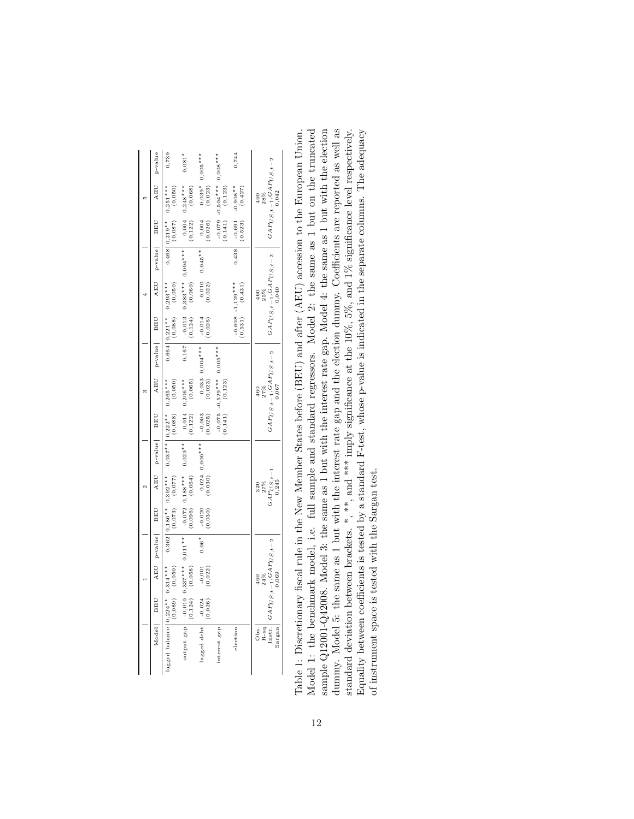| p-value<br>AEU | 0,739<br>$0,251***$<br>(0,050)                      | $0,081*$<br>$0,248***$<br>(0,068)               | $0,005***$<br>$0,039*$<br>$(0,023)$ | $0,008***$<br>$-0,504***$<br>(0,123) | 0,744<br>$-0,908**$<br>$(0,427)$            | $\label{eq:GAPUS} \begin{array}{l} \scriptstyle GAPUS, t-1 \, , GAPUS, t-2 \end{array}$<br>0,042<br>28%<br>460 |
|----------------|-----------------------------------------------------|-------------------------------------------------|-------------------------------------|--------------------------------------|---------------------------------------------|----------------------------------------------------------------------------------------------------------------|
| BEU            | (0,087)<br>$0.468$ $0.219**$                        | 0,004<br>(0, 122)                               | (0,026)                             | (0,141)                              | (0, 523)<br>$-0,691$                        |                                                                                                                |
| p-value        |                                                     |                                                 | $0,045**$                           |                                      | 0,438                                       |                                                                                                                |
| AEU            | (0,050)<br>$0,664$   $0,221**$ 0,293***             | $0,383***0,004***$<br>(0,060)                   | (0,010)                             |                                      | $-0,608$ $-1,129***$<br>$(0,531)$ $(0,431)$ | $GAPUS, t-1, GAPUS, t-2$<br>0,040<br>25%<br>460                                                                |
| BEU            | (0,088)                                             | $-0,013$<br>$(0,124)$                           | $-0,014$<br>$(0,026)$               |                                      |                                             |                                                                                                                |
| $p$ -value     |                                                     | 0,167                                           | $0,033$ $0,004***$<br>(0,023)       |                                      |                                             |                                                                                                                |
| AEU            | (0, 050)<br>$0,265***$                              | (0,065)<br>$0,206***$                           |                                     | $-0,529***0,005***$<br>(0, 123)      |                                             | $GAPUS, t-1, GAPUS, t-2$<br>0,067<br>27%                                                                       |
| <b>BEU</b>     | $0.037**$   0.222**<br>(0,088)                      | $\begin{array}{c} 0,014 \\ (0,122) \end{array}$ | $-0,003$<br>$(0,025)$               | (0,141)                              |                                             |                                                                                                                |
| p-value        |                                                     | $0,029**$                                       | $0,000***$                          |                                      |                                             |                                                                                                                |
| AEU            | $0,362$   $0,186**$ 0,392***<br>$(0,073)$ $(0,077)$ | $0,188***$<br>(0,064)                           | (0,024)                             |                                      |                                             | $\begin{array}{c} 27 \% \\ GAP_{US,t-1} \\ 0,245 \end{array}$<br>320                                           |
| <b>BEU</b>     |                                                     | $^{-0,072}$ (0,096)                             | (0,0.030)                           |                                      |                                             |                                                                                                                |
| AEU p-value    |                                                     | $0,011**$                                       | $0,06*$                             |                                      |                                             |                                                                                                                |
|                | (0,050)                                             | $-0,010$ 0,337***<br>(0,124) (0,058)            | (0,022)                             |                                      |                                             | Instr. $GAP_{US,t-1}, GAP_{US,t-2}$<br>0,069<br>24%<br>460                                                     |
| BEU            | (0,089)                                             |                                                 | $-0,024$<br>$(0,026)$               |                                      |                                             |                                                                                                                |
| Model          | lagged balance $0,224**$ 0.314***                   | output gap                                      | lagged debt                         | interest gap                         | election                                    | R-sq<br>Sargan<br>Obs.                                                                                         |

dummy. Model 5: the same as 1 but with the interest rate gap and the election dummy. Coefficients are reported as well as standard deviation between brackets. \*, \*\*, and \*\*\* imply significance at the 10%, 5%, and 1% signi Table 1: Discretionary fiscal rule in the New Member States before (BEU) and after (AEU) accession to the European Union.<br>Model 1: the benchmark model, i.e. full sample and standard regressors. Model 2: the same as 1 but o sample Q12001-Q42008. Model 3: the same as 1 but with the interest rate gap. Model 4: the same as 1 but with the election Model 1: the benchmark model, i.e. full sample and standard regressors. Model 2: the same as 1 but on the truncated sample Q12001-Q42008. Model 3: the same as 1 but with the interest rate gap. Model 4: the same as 1 but with the election dummy. Model 5: the same as 1 but with the interest rate gap and the election dummy. Coefficients are reported as well as Equality between coefficients is tested by a standard F-test, whose p-value is indicated in the separate columns. The adequacy Equality between coefficients is tested by a standard F-test, whose p-value is indicated in the separate columns. The adequacy Table 1: Discretionary fiscal rule in the New Member States before (BEU) and after (AEU) accession to the European Union. standard deviation between brackets. \*, \*\*, and \*\*\* imply significance at the 10%, 5%, and 1% significance level respectively. of instrument space is tested with the Sargan test. of instrument space is tested with the Sargan test.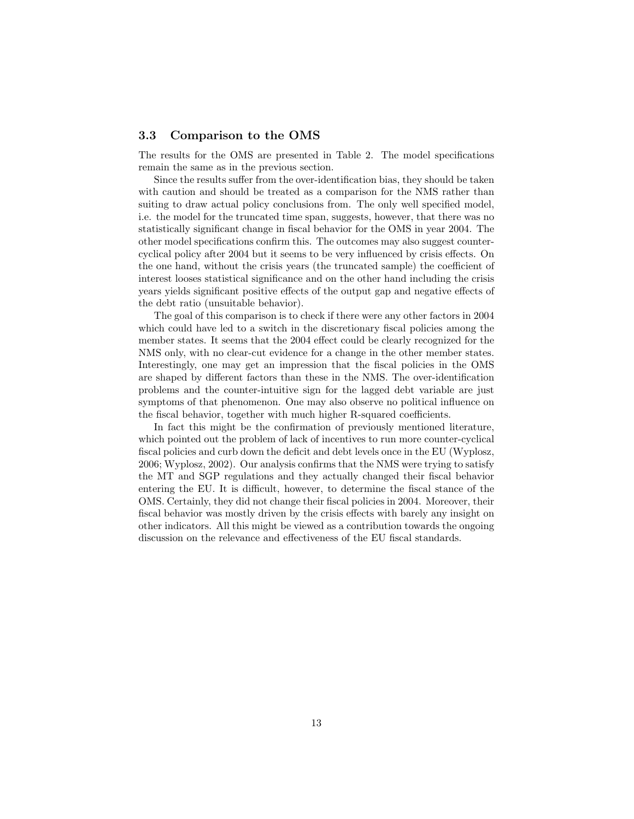#### 3.3 Comparison to the OMS

The results for the OMS are presented in Table 2. The model specifications remain the same as in the previous section.

Since the results suffer from the over-identification bias, they should be taken with caution and should be treated as a comparison for the NMS rather than suiting to draw actual policy conclusions from. The only well specified model, i.e. the model for the truncated time span, suggests, however, that there was no statistically significant change in fiscal behavior for the OMS in year 2004. The other model specifications confirm this. The outcomes may also suggest countercyclical policy after 2004 but it seems to be very influenced by crisis effects. On the one hand, without the crisis years (the truncated sample) the coefficient of interest looses statistical significance and on the other hand including the crisis years yields significant positive effects of the output gap and negative effects of the debt ratio (unsuitable behavior).

The goal of this comparison is to check if there were any other factors in 2004 which could have led to a switch in the discretionary fiscal policies among the member states. It seems that the 2004 effect could be clearly recognized for the NMS only, with no clear-cut evidence for a change in the other member states. Interestingly, one may get an impression that the fiscal policies in the OMS are shaped by different factors than these in the NMS. The over-identification problems and the counter-intuitive sign for the lagged debt variable are just symptoms of that phenomenon. One may also observe no political influence on the fiscal behavior, together with much higher R-squared coefficients.

In fact this might be the confirmation of previously mentioned literature, which pointed out the problem of lack of incentives to run more counter-cyclical fiscal policies and curb down the deficit and debt levels once in the EU (Wyplosz, 2006; Wyplosz, 2002). Our analysis confirms that the NMS were trying to satisfy the MT and SGP regulations and they actually changed their fiscal behavior entering the EU. It is difficult, however, to determine the fiscal stance of the OMS. Certainly, they did not change their fiscal policies in 2004. Moreover, their fiscal behavior was mostly driven by the crisis effects with barely any insight on other indicators. All this might be viewed as a contribution towards the ongoing discussion on the relevance and effectiveness of the EU fiscal standards.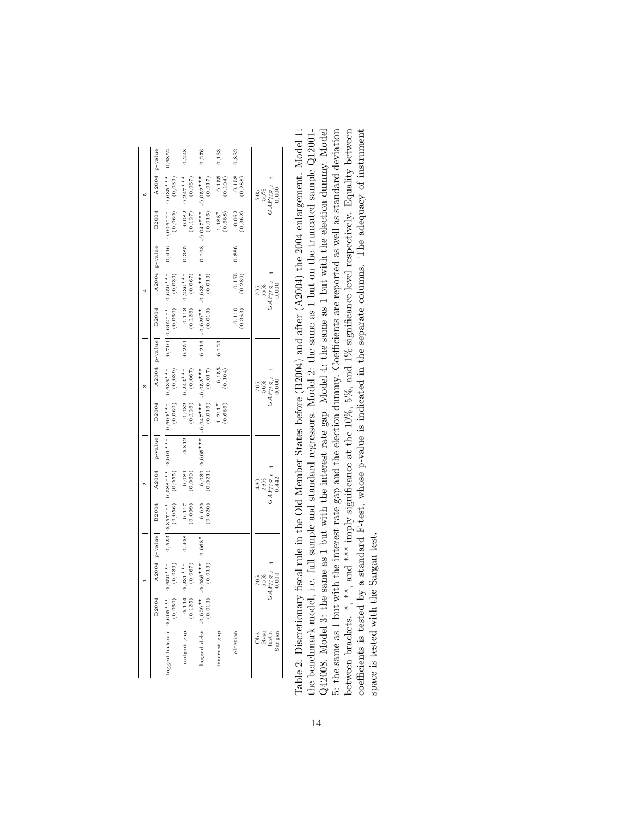|                                      | B2004                                           |                                   | A2004 p-value | B2004               |                                                                   | A2004 p-value B2004 |                                                                           |                                                                     |       | A2004 p-value B2004   |                                                                      | A2004 p-value | B2004                                                         | A2004 p-value                                                       |        |
|--------------------------------------|-------------------------------------------------|-----------------------------------|---------------|---------------------|-------------------------------------------------------------------|---------------------|---------------------------------------------------------------------------|---------------------------------------------------------------------|-------|-----------------------|----------------------------------------------------------------------|---------------|---------------------------------------------------------------|---------------------------------------------------------------------|--------|
| lagged balance $0,605***$ $0,650***$ | (0,060)                                         | (0, 039)                          |               | (0,056)             | (0,055)                                                           |                     | $0,523$ $0,357***$ $0,588***$ $0,001***$ $0,609***$ $0,636***$<br>(0,060) | (0,039)                                                             |       | (0,060)               | $0,709$ 0,602*** 0,650***<br>(0,039)                                 |               | $0,496$ 0,606*** 0,635***<br>(0, 060)                         | (0,039)                                                             | 0,6852 |
| output gap                           | $\begin{array}{c} 0,114 \\ (0,125) \end{array}$ | $0,231***$<br>(0,067)             | 0,408         | $(660, 0)$<br>711,0 | (690, 0)                                                          | 0,812               | $^{0,082}_{(0,126)}$                                                      | $0,243***$<br>(0,067)                                               | 0,259 | 0,113<br>(0, 126)     | $0,236***$<br>$(0,067)$                                              | 0,385         | $0,082$<br>$(0,127)$                                          | $0,247***$<br>(0,067)                                               | 0,248  |
| $\frac{\text{lagged debt}}{(0,013)}$ |                                                 | $-0,036***$<br>(0, 013)           | $0,068*$      | (0,020)             |                                                                   | $0,030$ 0,005***    | $-0.047***$<br>(0, 016)                                                   | $-0,052***$<br>(0,017)                                              | 0,216 | $-0,029**$<br>(0,013) | $-0,035***$<br>(0, 013)                                              | 0,108         | $\begin{bmatrix} -0.047 \times 10.016 \\ 0.016 \end{bmatrix}$ | $-0,052***$<br>(0,017)                                              | 0,276  |
| interest gap                         |                                                 |                                   |               |                     |                                                                   |                     | $1,211*$<br>$(0,686)$                                                     | $0,155$<br>$(0,104)$                                                | 0,123 |                       |                                                                      |               | $1,188*$<br>(0,688)                                           | $(0,155)$<br>(0,104)                                                | 0,133  |
| election                             |                                                 |                                   |               |                     |                                                                   |                     |                                                                           |                                                                     |       | $-0,110$<br>$(0,363)$ | (0, 289)                                                             | 0,886         | $\frac{-0,062}{(0,362)}$                                      | $\frac{-0,158}{(0,288)}$                                            | 0,832  |
| $R$ -sq<br>Instr.<br>Obs.<br>Sargan  |                                                 | $GAPU_{0,000}^{X,Y-1}$<br>$705$ % |               |                     | $\begin{array}{c} 480 \\ 28\% \\ GAPUS, t-1 \\ 0,442 \end{array}$ |                     |                                                                           | $\begin{array}{c} 705 \\ 56\% \\ GAP_{US,t-1} \\ 0,000 \end{array}$ |       |                       | $\begin{array}{c} 705 \\ 55\% \\ GAP_{US, t-1} \\ 0,000 \end{array}$ |               |                                                               | $\begin{array}{c} 705 \\ 56\% \\ GAPUS_1t - 1 \\ 0,000 \end{array}$ |        |

the benchmark model, i.e. full sample and standard regressors. Model 2: the same as 1 but on the truncated sample Q12001-Q42008. Model 3: the same as 1 but with the interest rate gap. Model 4: the same as 1 but with the election dummy. Model 5: the same as 1 but with the interest rate gap and the election dummy. Coefficients are reported as well as standard deviation between brackets. \*, \*\*, and \*\*\* imply significance at the  $10\%$ ,  $5\%$ , and  $1\%$  significance level respectively. Equality between coefficients is tested by a standard F-test, whose p-value is indicated in the separate Table 2: Discretionary fiscal rule in the Old Member States before (B2004) and after (A2004) the 2004 enlargement. Model 1: Table 2: Discretionary fiscal rule in the Old Member States before (B2004) and after (A2004) the 2004 enlargement. Model 1: Q42008. Model 3: the same as 1 but with the interest rate gap. Model 4: the same as 1 but with the election dummy. Model 5: the same as 1 but with the interest rate gap and the election dummy. Coefficients are reported as well as standard deviation between brackets. \*, \*, and \*\*\* imply significance at the 10%, 5%, and 1% significance level respectively. Equality between the benchmark model, i.e. full sample and standard regressors. Model 2: the same as 1 but on the truncated sample Q12001 coefficients is tested by a standard F-test, whose p-value is indicated in the separate columns. The adequacy of instrument space is tested with the Sargan test. space is tested with the Sargan test.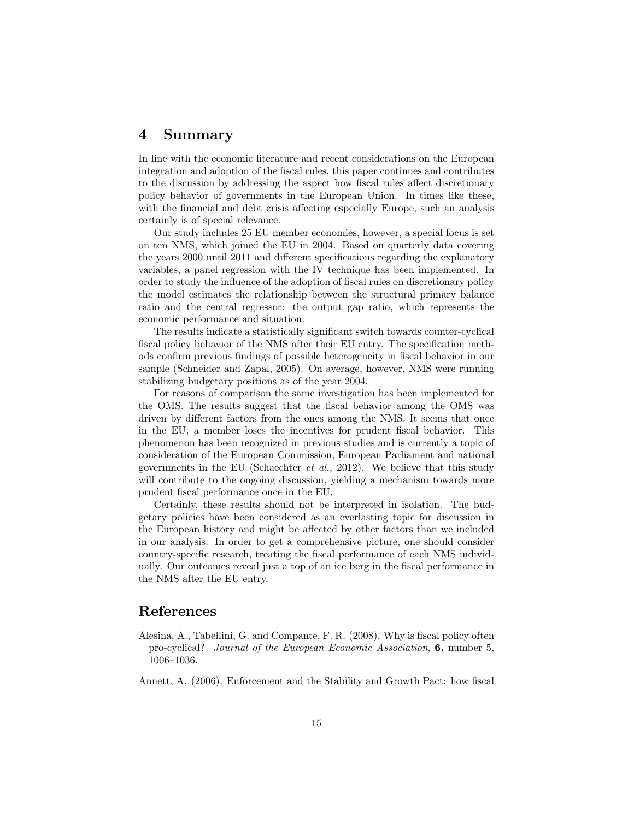### 4 Summary

In line with the economic literature and recent considerations on the European integration and adoption of the fiscal rules, this paper continues and contributes to the discussion by addressing the aspect how fiscal rules affect discretionary policy behavior of governments in the European Union. In times like these, with the financial and debt crisis affecting especially Europe, such an analysis certainly is of special relevance.

Our study includes 25 EU member economies, however, a special focus is set on ten NMS, which joined the EU in 2004. Based on quarterly data covering the years 2000 until 2011 and different specifications regarding the explanatory variables, a panel regression with the IV technique has been implemented. In order to study the influence of the adoption of fiscal rules on discretionary policy the model estimates the relationship between the structural primary balance ratio and the central regressor: the output gap ratio, which represents the economic performance and situation.

The results indicate a statistically significant switch towards counter-cyclical fiscal policy behavior of the NMS after their EU entry. The specification methods confirm previous findings of possible heterogeneity in fiscal behavior in our sample (Schneider and Zapal, 2005). On average, however, NMS were running stabilizing budgetary positions as of the year 2004.

For reasons of comparison the same investigation has been implemented for the OMS. The results suggest that the fiscal behavior among the OMS was driven by different factors from the ones among the NMS. It seems that once in the EU, a member loses the incentives for prudent fiscal behavior. This phenomenon has been recognized in previous studies and is currently a topic of consideration of the European Commission, European Parliament and national governments in the EU (Schaechter *et al.*, 2012). We believe that this study will contribute to the ongoing discussion, yielding a mechanism towards more prudent fiscal performance once in the EU.

Certainly, these results should not be interpreted in isolation. The budgetary policies have been considered as an everlasting topic for discussion in the European history and might be affected by other factors than we included in our analysis. In order to get a comprehensive picture, one should consider country-specific research, treating the fiscal performance of each NMS individually. Our outcomes reveal just a top of an ice berg in the fiscal performance in the NMS after the EU entry.

## References

- Alesina, A., Tabellini, G. and Compante, F. R. (2008). Why is fiscal policy often pro-cyclical? Journal of the European Economic Association, 6, number 5, 1006–1036.
- Annett, A. (2006). Enforcement and the Stability and Growth Pact: how fiscal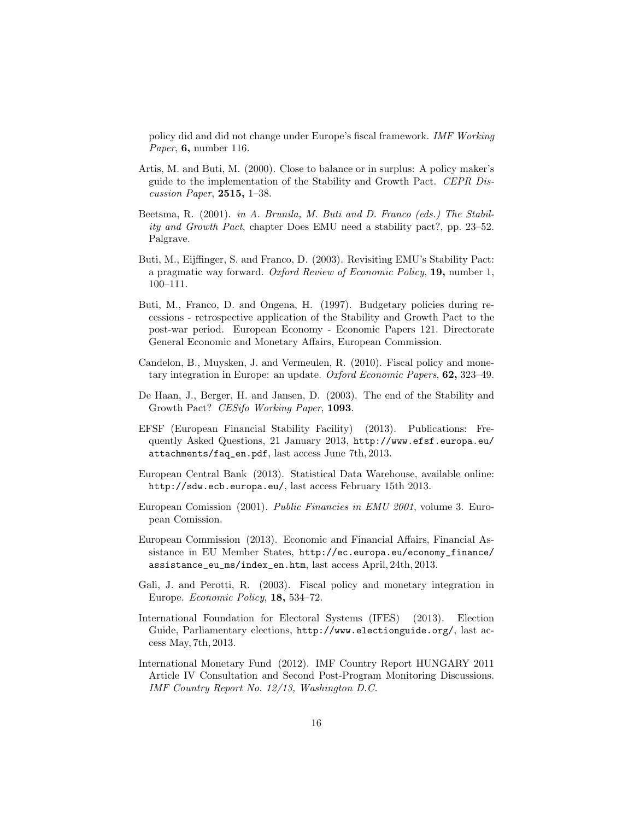policy did and did not change under Europe's fiscal framework. IMF Working Paper, 6, number 116.

- Artis, M. and Buti, M. (2000). Close to balance or in surplus: A policy maker's guide to the implementation of the Stability and Growth Pact. CEPR Discussion Paper, 2515, 1–38.
- Beetsma, R. (2001). in A. Brunila, M. Buti and D. Franco (eds.) The Stability and Growth Pact, chapter Does EMU need a stability pact?, pp. 23–52. Palgrave.
- Buti, M., Eijffinger, S. and Franco, D. (2003). Revisiting EMU's Stability Pact: a pragmatic way forward. Oxford Review of Economic Policy, 19, number 1, 100–111.
- Buti, M., Franco, D. and Ongena, H. (1997). Budgetary policies during recessions - retrospective application of the Stability and Growth Pact to the post-war period. European Economy - Economic Papers 121. Directorate General Economic and Monetary Affairs, European Commission.
- Candelon, B., Muysken, J. and Vermeulen, R. (2010). Fiscal policy and monetary integration in Europe: an update. Oxford Economic Papers, 62, 323–49.
- De Haan, J., Berger, H. and Jansen, D. (2003). The end of the Stability and Growth Pact? CESifo Working Paper, 1093.
- EFSF (European Financial Stability Facility) (2013). Publications: Frequently Asked Questions, 21 January 2013, http://www.efsf.europa.eu/ attachments/faq\_en.pdf, last access June 7th, 2013.
- European Central Bank (2013). Statistical Data Warehouse, available online: http://sdw.ecb.europa.eu/, last access February 15th 2013.
- European Comission (2001). Public Financies in EMU 2001, volume 3. European Comission.
- European Commission (2013). Economic and Financial Affairs, Financial Assistance in EU Member States, http://ec.europa.eu/economy\_finance/ assistance\_eu\_ms/index\_en.htm, last access April, 24th, 2013.
- Gali, J. and Perotti, R. (2003). Fiscal policy and monetary integration in Europe. Economic Policy, 18, 534–72.
- International Foundation for Electoral Systems (IFES) (2013). Election Guide, Parliamentary elections, http://www.electionguide.org/, last access May, 7th, 2013.
- International Monetary Fund (2012). IMF Country Report HUNGARY 2011 Article IV Consultation and Second Post-Program Monitoring Discussions. IMF Country Report No. 12/13, Washington D.C.